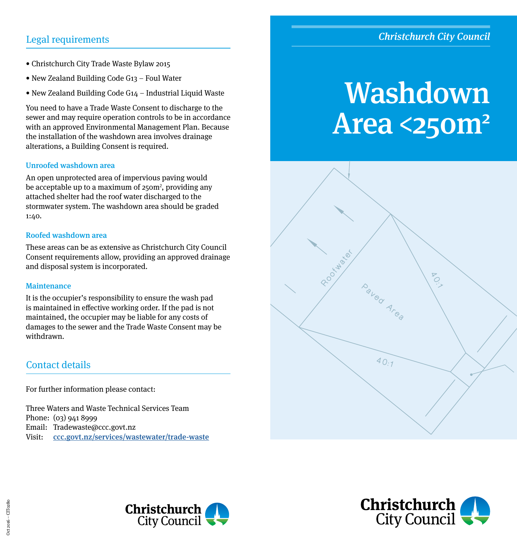# Christchurch City Council

# Legal requirements

- Christchurch City Trade Waste Bylaw 2015
- New Zealand Building Code G13 Foul Water
- New Zealand Building Code G14 Industrial Liquid Waste

You need to have a Trade Waste Consent to discharge to the sewer and may require operation controls to be in accordance with an approved Environmental Management Plan. Because the installation of the washdown area involves drainage alterations, a Building Consent is required.

## Unroofed washdown area

An open unprotected area of impervious paving would be acceptable up to a maximum of 250m<sup>2</sup>, providing any attached shelter had the roof water discharged to the stormwater system. The washdown area should be graded 1:40.

## Roofed washdown area

These areas can be as extensive as Christchurch City Council Consent requirements allow, providing an approved drainage and disposal system is incorporated.

### **Maintenance**

It is the occupier's responsibility to ensure the wash pad is maintained in effective working order. If the pad is not maintained, the occupier may be liable for any costs of damages to the sewer and the Trade Waste Consent may be withdrawn.

## Contact details

For further information please contact:

Three Waters and Waste Technical Services Team Phone: (03) 941 8999 Email: Tradewaste@ccc.govt.nz Visit: [ccc.govt.nz/services/wastewater/trade-waste](http://www.ccc.govt.nz/services/wastewater/trade-waste)

# Washdown **Area <250m<sup>2</sup>**